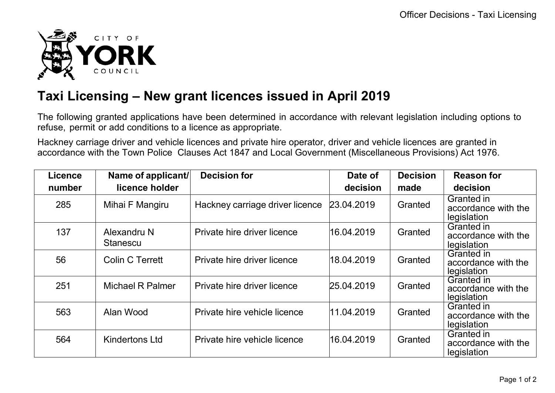

## **Taxi Licensing – New grant licences issued in April 2019**

The following granted applications have been determined in accordance with relevant legislation including options to refuse, permit or add conditions to a licence as appropriate.

Hackney carriage driver and vehicle licences and private hire operator, driver and vehicle licences are granted in accordance with the Town Police Clauses Act 1847 and Local Government (Miscellaneous Provisions) Act 1976.

| <b>Licence</b> | Name of applicant/             | <b>Decision for</b>             | Date of    | <b>Decision</b> | <b>Reason for</b>                                       |
|----------------|--------------------------------|---------------------------------|------------|-----------------|---------------------------------------------------------|
| number         | licence holder                 |                                 | decision   | made            | decision                                                |
| 285            | Mihai F Mangiru                | Hackney carriage driver licence | 23.04.2019 | Granted         | Granted in<br>accordance with the<br>legislation        |
| 137            | Alexandru N<br><b>Stanescu</b> | Private hire driver licence     | 16.04.2019 | Granted         | Granted in<br>accordance with the<br>legislation        |
| 56             | <b>Colin C Terrett</b>         | Private hire driver licence     | 18.04.2019 | Granted         | Granted in<br>accordance with the<br>legislation        |
| 251            | <b>Michael R Palmer</b>        | Private hire driver licence     | 25.04.2019 | Granted         | <b>Granted in</b><br>accordance with the<br>legislation |
| 563            | Alan Wood                      | Private hire vehicle licence    | 11.04.2019 | Granted         | Granted in<br>accordance with the<br>legislation        |
| 564            | <b>Kindertons Ltd</b>          | Private hire vehicle licence    | 16.04.2019 | Granted         | Granted in<br>accordance with the<br>legislation        |